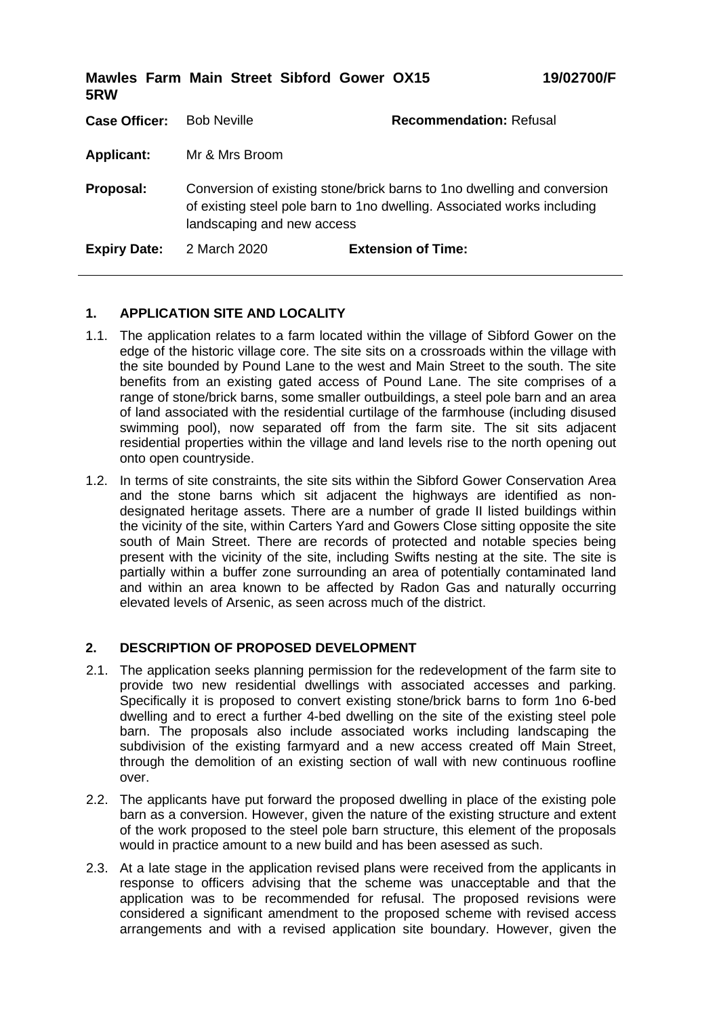| 5RW                  | Mawles Farm Main Street Sibford Gower OX15 |                                                                                                                                                     | 19/02700/F |
|----------------------|--------------------------------------------|-----------------------------------------------------------------------------------------------------------------------------------------------------|------------|
| <b>Case Officer:</b> | <b>Bob Neville</b>                         | <b>Recommendation: Refusal</b>                                                                                                                      |            |
| <b>Applicant:</b>    | Mr & Mrs Broom                             |                                                                                                                                                     |            |
| Proposal:            | landscaping and new access                 | Conversion of existing stone/brick barns to 1 no dwelling and conversion<br>of existing steel pole barn to 1no dwelling. Associated works including |            |
| <b>Expiry Date:</b>  | 2 March 2020                               | <b>Extension of Time:</b>                                                                                                                           |            |

# **1. APPLICATION SITE AND LOCALITY**

- 1.1. The application relates to a farm located within the village of Sibford Gower on the edge of the historic village core. The site sits on a crossroads within the village with the site bounded by Pound Lane to the west and Main Street to the south. The site benefits from an existing gated access of Pound Lane. The site comprises of a range of stone/brick barns, some smaller outbuildings, a steel pole barn and an area of land associated with the residential curtilage of the farmhouse (including disused swimming pool), now separated off from the farm site. The sit sits adjacent residential properties within the village and land levels rise to the north opening out onto open countryside.
- 1.2. In terms of site constraints, the site sits within the Sibford Gower Conservation Area and the stone barns which sit adjacent the highways are identified as nondesignated heritage assets. There are a number of grade II listed buildings within the vicinity of the site, within Carters Yard and Gowers Close sitting opposite the site south of Main Street. There are records of protected and notable species being present with the vicinity of the site, including Swifts nesting at the site. The site is partially within a buffer zone surrounding an area of potentially contaminated land and within an area known to be affected by Radon Gas and naturally occurring elevated levels of Arsenic, as seen across much of the district.

### **2. DESCRIPTION OF PROPOSED DEVELOPMENT**

- 2.1. The application seeks planning permission for the redevelopment of the farm site to provide two new residential dwellings with associated accesses and parking. Specifically it is proposed to convert existing stone/brick barns to form 1no 6-bed dwelling and to erect a further 4-bed dwelling on the site of the existing steel pole barn. The proposals also include associated works including landscaping the subdivision of the existing farmyard and a new access created off Main Street, through the demolition of an existing section of wall with new continuous roofline over.
- 2.2. The applicants have put forward the proposed dwelling in place of the existing pole barn as a conversion. However, given the nature of the existing structure and extent of the work proposed to the steel pole barn structure, this element of the proposals would in practice amount to a new build and has been asessed as such.
- 2.3. At a late stage in the application revised plans were received from the applicants in response to officers advising that the scheme was unacceptable and that the application was to be recommended for refusal. The proposed revisions were considered a significant amendment to the proposed scheme with revised access arrangements and with a revised application site boundary. However, given the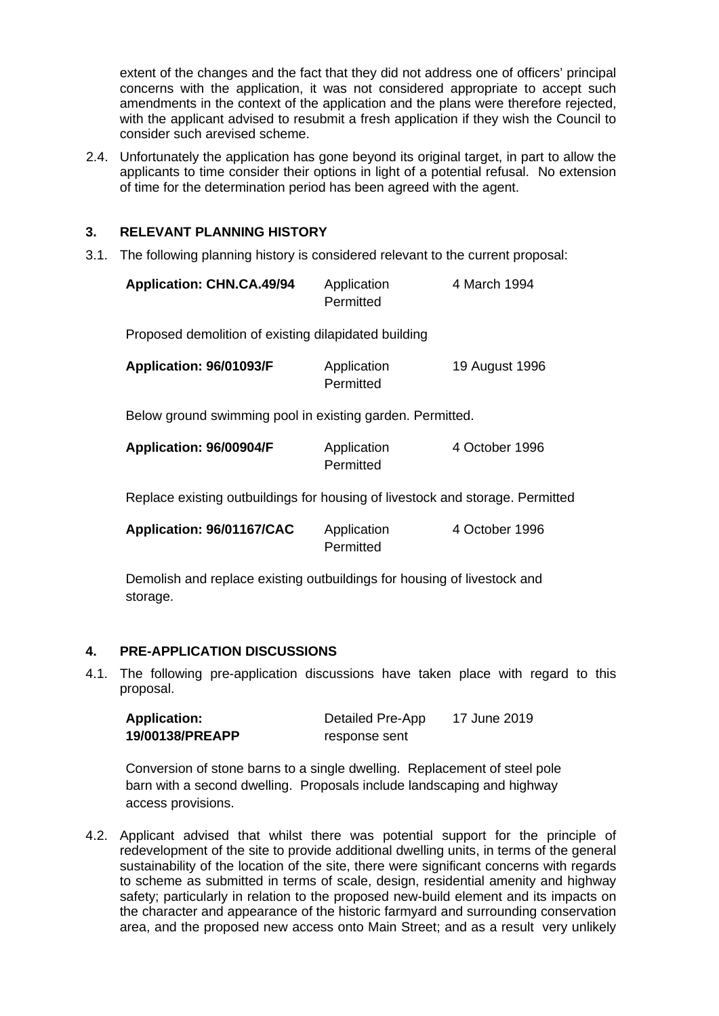extent of the changes and the fact that they did not address one of officers' principal concerns with the application, it was not considered appropriate to accept such amendments in the context of the application and the plans were therefore rejected, with the applicant advised to resubmit a fresh application if they wish the Council to consider such arevised scheme.

2.4. Unfortunately the application has gone beyond its original target, in part to allow the applicants to time consider their options in light of a potential refusal. No extension of time for the determination period has been agreed with the agent.

# **3. RELEVANT PLANNING HISTORY**

3.1. The following planning history is considered relevant to the current proposal:

| <b>Application: CHN.CA.49/94</b> | Application | 4 March 1994 |
|----------------------------------|-------------|--------------|
|                                  | Permitted   |              |

Proposed demolition of existing dilapidated building

| Application: 96/01093/F | Application | 19 August 1996 |
|-------------------------|-------------|----------------|
|                         | Permitted   |                |

Below ground swimming pool in existing garden. Permitted.

| Application: 96/00904/F | Application | 4 October 1996 |
|-------------------------|-------------|----------------|
|                         | Permitted   |                |

Replace existing outbuildings for housing of livestock and storage. Permitted

| Application: 96/01167/CAC | Application | 4 October 1996 |
|---------------------------|-------------|----------------|
|                           | Permitted   |                |

Demolish and replace existing outbuildings for housing of livestock and storage.

# **4. PRE-APPLICATION DISCUSSIONS**

4.1. The following pre-application discussions have taken place with regard to this proposal.

| <b>Application:</b> | Detailed Pre-App | 17 June 2019 |
|---------------------|------------------|--------------|
| 19/00138/PREAPP     | response sent    |              |

Conversion of stone barns to a single dwelling. Replacement of steel pole barn with a second dwelling. Proposals include landscaping and highway access provisions.

4.2. Applicant advised that whilst there was potential support for the principle of redevelopment of the site to provide additional dwelling units, in terms of the general sustainability of the location of the site, there were significant concerns with regards to scheme as submitted in terms of scale, design, residential amenity and highway safety; particularly in relation to the proposed new-build element and its impacts on the character and appearance of the historic farmyard and surrounding conservation area, and the proposed new access onto Main Street; and as a result very unlikely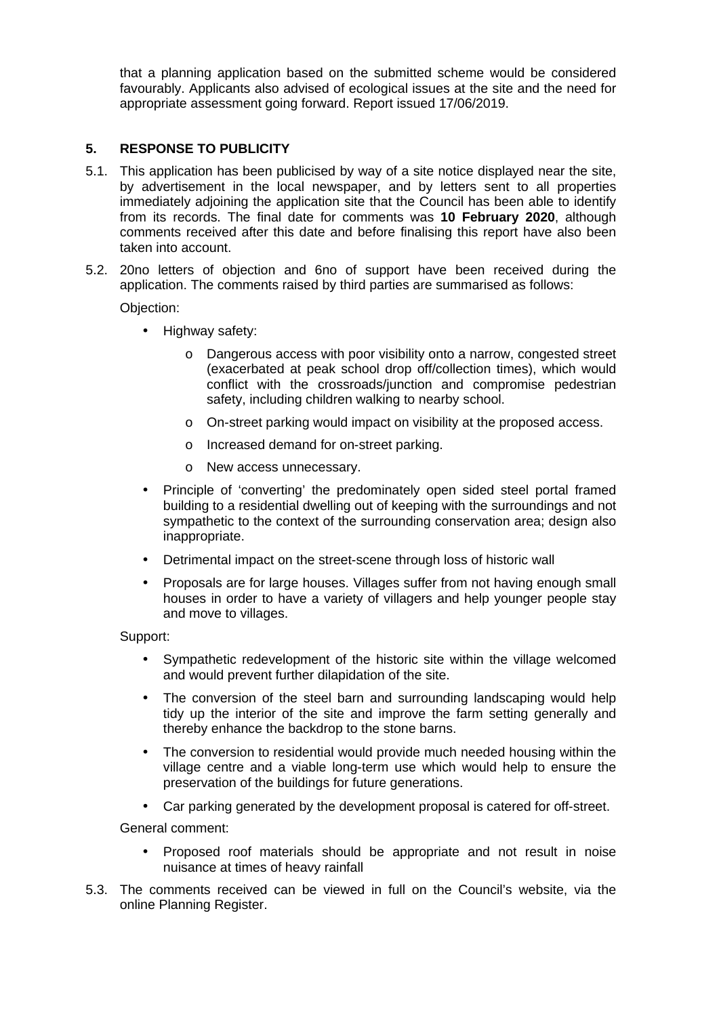that a planning application based on the submitted scheme would be considered favourably. Applicants also advised of ecological issues at the site and the need for appropriate assessment going forward. Report issued 17/06/2019.

### **5. RESPONSE TO PUBLICITY**

- 5.1. This application has been publicised by way of a site notice displayed near the site, by advertisement in the local newspaper, and by letters sent to all properties immediately adjoining the application site that the Council has been able to identify from its records. The final date for comments was **10 February 2020**, although comments received after this date and before finalising this report have also been taken into account.
- 5.2. 20no letters of objection and 6no of support have been received during the application. The comments raised by third parties are summarised as follows:

Objection:

- Highway safety:
	- o Dangerous access with poor visibility onto a narrow, congested street (exacerbated at peak school drop off/collection times), which would conflict with the crossroads/junction and compromise pedestrian safety, including children walking to nearby school.
	- o On-street parking would impact on visibility at the proposed access.
	- o Increased demand for on-street parking.
	- o New access unnecessary.
- Principle of 'converting' the predominately open sided steel portal framed building to a residential dwelling out of keeping with the surroundings and not sympathetic to the context of the surrounding conservation area; design also inappropriate.
- Detrimental impact on the street-scene through loss of historic wall
- Proposals are for large houses. Villages suffer from not having enough small houses in order to have a variety of villagers and help younger people stay and move to villages.

Support:

- Sympathetic redevelopment of the historic site within the village welcomed and would prevent further dilapidation of the site.
- The conversion of the steel barn and surrounding landscaping would help tidy up the interior of the site and improve the farm setting generally and thereby enhance the backdrop to the stone barns.
- The conversion to residential would provide much needed housing within the village centre and a viable long-term use which would help to ensure the preservation of the buildings for future generations.
- Car parking generated by the development proposal is catered for off-street.

General comment:

- Proposed roof materials should be appropriate and not result in noise nuisance at times of heavy rainfall
- 5.3. The comments received can be viewed in full on the Council's website, via the online Planning Register.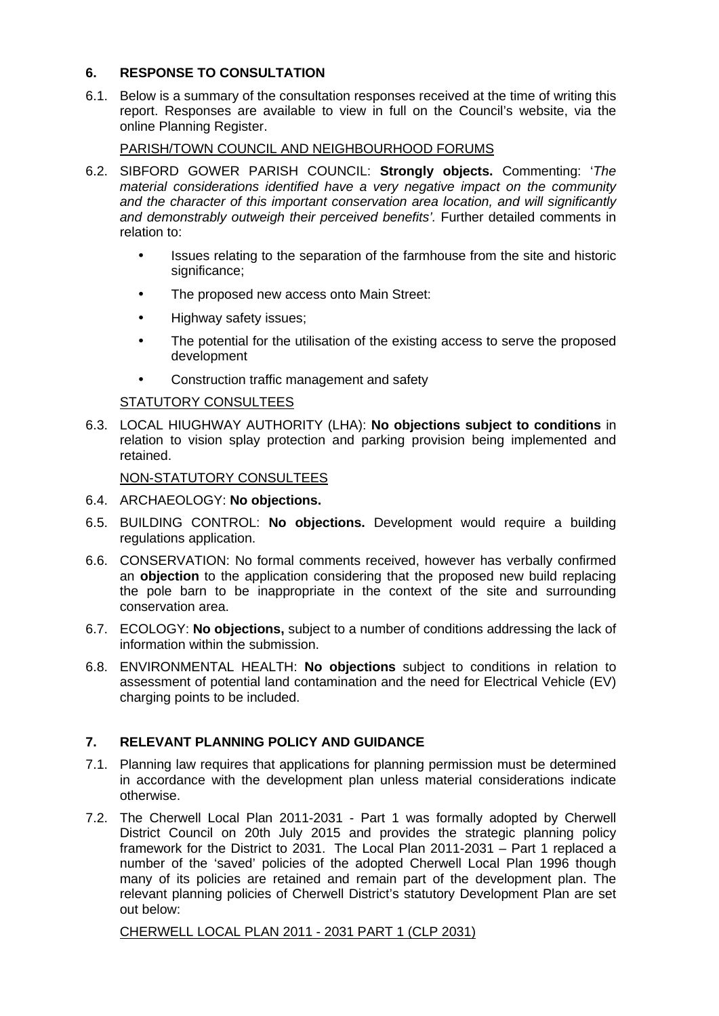### **6. RESPONSE TO CONSULTATION**

6.1. Below is a summary of the consultation responses received at the time of writing this report. Responses are available to view in full on the Council's website, via the online Planning Register.

PARISH/TOWN COUNCIL AND NEIGHBOURHOOD FORUMS

- 6.2. SIBFORD GOWER PARISH COUNCIL: **Strongly objects.** Commenting: '*The material considerations identified have a very negative impact on the community and the character of this important conservation area location, and will significantly and demonstrably outweigh their perceived benefits'.* Further detailed comments in relation to:
	- Issues relating to the separation of the farmhouse from the site and historic significance;
	- The proposed new access onto Main Street:
	- Highway safety issues:
	- The potential for the utilisation of the existing access to serve the proposed development
	- Construction traffic management and safety

### STATUTORY CONSULTEES

6.3. LOCAL HIUGHWAY AUTHORITY (LHA): **No objections subject to conditions** in relation to vision splay protection and parking provision being implemented and retained.

### NON-STATUTORY CONSULTEES

- 6.4. ARCHAEOLOGY: **No objections.**
- 6.5. BUILDING CONTROL: **No objections.** Development would require a building regulations application.
- 6.6. CONSERVATION: No formal comments received, however has verbally confirmed an **objection** to the application considering that the proposed new build replacing the pole barn to be inappropriate in the context of the site and surrounding conservation area.
- 6.7. ECOLOGY: **No objections,** subject to a number of conditions addressing the lack of information within the submission.
- 6.8. ENVIRONMENTAL HEALTH: **No objections** subject to conditions in relation to assessment of potential land contamination and the need for Electrical Vehicle (EV) charging points to be included.

# **7. RELEVANT PLANNING POLICY AND GUIDANCE**

- 7.1. Planning law requires that applications for planning permission must be determined in accordance with the development plan unless material considerations indicate otherwise.
- 7.2. The Cherwell Local Plan 2011-2031 Part 1 was formally adopted by Cherwell District Council on 20th July 2015 and provides the strategic planning policy framework for the District to 2031. The Local Plan 2011-2031 – Part 1 replaced a number of the 'saved' policies of the adopted Cherwell Local Plan 1996 though many of its policies are retained and remain part of the development plan. The relevant planning policies of Cherwell District's statutory Development Plan are set out below:

CHERWELL LOCAL PLAN 2011 - 2031 PART 1 (CLP 2031)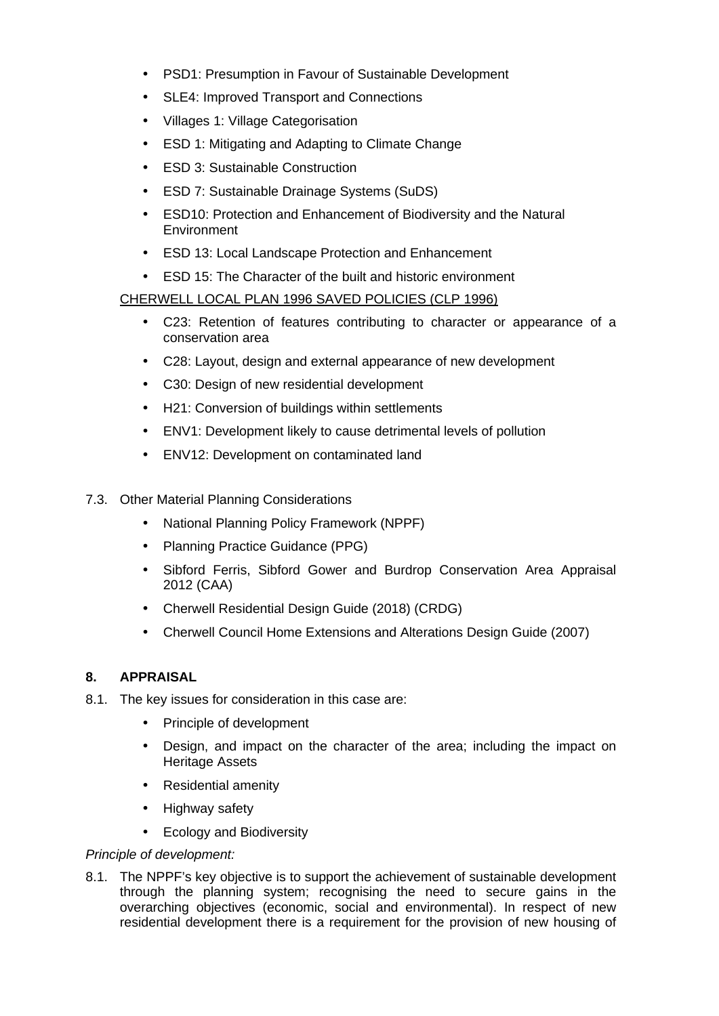- PSD1: Presumption in Favour of Sustainable Development
- SLE4: Improved Transport and Connections
- Villages 1: Village Categorisation
- ESD 1: Mitigating and Adapting to Climate Change
- ESD 3: Sustainable Construction
- ESD 7: Sustainable Drainage Systems (SuDS)
- ESD10: Protection and Enhancement of Biodiversity and the Natural **Environment**
- ESD 13: Local Landscape Protection and Enhancement
- ESD 15: The Character of the built and historic environment

### CHERWELL LOCAL PLAN 1996 SAVED POLICIES (CLP 1996)

- C23: Retention of features contributing to character or appearance of a conservation area
- C28: Layout, design and external appearance of new development
- C30: Design of new residential development
- H21: Conversion of buildings within settlements
- ENV1: Development likely to cause detrimental levels of pollution
- ENV12: Development on contaminated land
- 7.3. Other Material Planning Considerations
	- National Planning Policy Framework (NPPF)
	- Planning Practice Guidance (PPG)
	- Sibford Ferris, Sibford Gower and Burdrop Conservation Area Appraisal 2012 (CAA)
	- Cherwell Residential Design Guide (2018) (CRDG)
	- Cherwell Council Home Extensions and Alterations Design Guide (2007)

### **8. APPRAISAL**

- 8.1. The key issues for consideration in this case are:
	- Principle of development
	- Design, and impact on the character of the area; including the impact on Heritage Assets
	- Residential amenity
	- Highway safety
	- Ecology and Biodiversity

### *Principle of development:*

8.1. The NPPF's key objective is to support the achievement of sustainable development through the planning system; recognising the need to secure gains in the overarching objectives (economic, social and environmental). In respect of new residential development there is a requirement for the provision of new housing of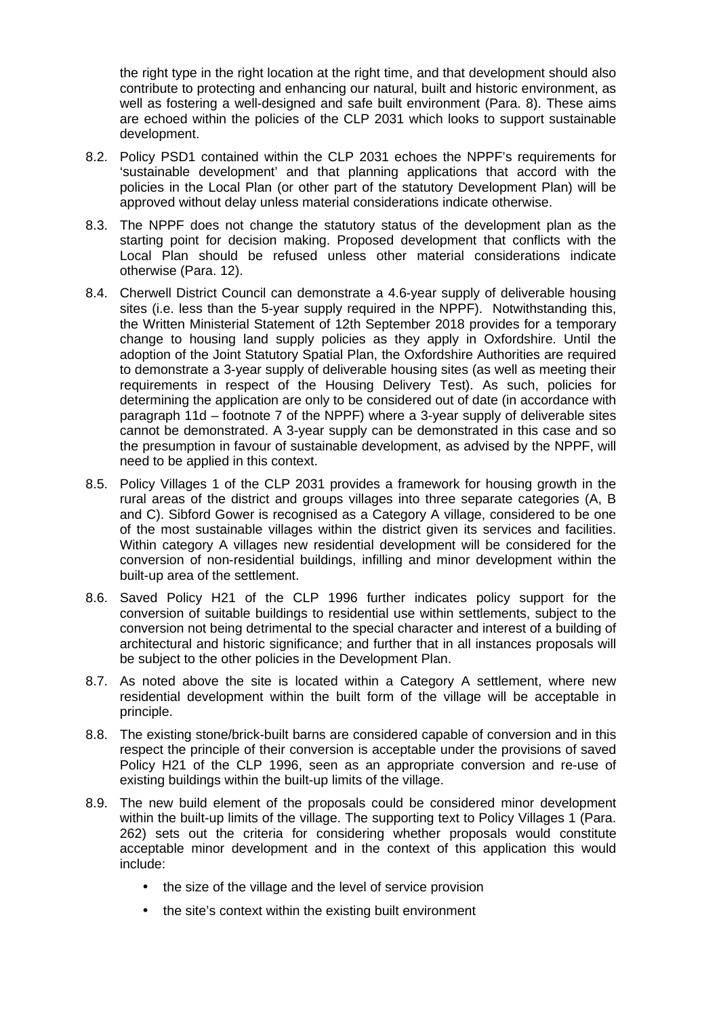the right type in the right location at the right time, and that development should also contribute to protecting and enhancing our natural, built and historic environment, as well as fostering a well-designed and safe built environment (Para. 8). These aims are echoed within the policies of the CLP 2031 which looks to support sustainable development.

- 8.2. Policy PSD1 contained within the CLP 2031 echoes the NPPF's requirements for 'sustainable development' and that planning applications that accord with the policies in the Local Plan (or other part of the statutory Development Plan) will be approved without delay unless material considerations indicate otherwise.
- 8.3. The NPPF does not change the statutory status of the development plan as the starting point for decision making. Proposed development that conflicts with the Local Plan should be refused unless other material considerations indicate otherwise (Para. 12).
- 8.4. Cherwell District Council can demonstrate a 4.6-year supply of deliverable housing sites (i.e. less than the 5-year supply required in the NPPF). Notwithstanding this, the Written Ministerial Statement of 12th September 2018 provides for a temporary change to housing land supply policies as they apply in Oxfordshire. Until the adoption of the Joint Statutory Spatial Plan, the Oxfordshire Authorities are required to demonstrate a 3-year supply of deliverable housing sites (as well as meeting their requirements in respect of the Housing Delivery Test). As such, policies for determining the application are only to be considered out of date (in accordance with paragraph 11d – footnote 7 of the NPPF) where a 3-year supply of deliverable sites cannot be demonstrated. A 3-year supply can be demonstrated in this case and so the presumption in favour of sustainable development, as advised by the NPPF, will need to be applied in this context.
- 8.5. Policy Villages 1 of the CLP 2031 provides a framework for housing growth in the rural areas of the district and groups villages into three separate categories (A, B and C). Sibford Gower is recognised as a Category A village, considered to be one of the most sustainable villages within the district given its services and facilities. Within category A villages new residential development will be considered for the conversion of non-residential buildings, infilling and minor development within the built-up area of the settlement.
- 8.6. Saved Policy H21 of the CLP 1996 further indicates policy support for the conversion of suitable buildings to residential use within settlements, subject to the conversion not being detrimental to the special character and interest of a building of architectural and historic significance; and further that in all instances proposals will be subject to the other policies in the Development Plan.
- 8.7. As noted above the site is located within a Category A settlement, where new residential development within the built form of the village will be acceptable in principle.
- 8.8. The existing stone/brick-built barns are considered capable of conversion and in this respect the principle of their conversion is acceptable under the provisions of saved Policy H21 of the CLP 1996, seen as an appropriate conversion and re-use of existing buildings within the built-up limits of the village.
- 8.9. The new build element of the proposals could be considered minor development within the built-up limits of the village. The supporting text to Policy Villages 1 (Para. 262) sets out the criteria for considering whether proposals would constitute acceptable minor development and in the context of this application this would include:
	- the size of the village and the level of service provision
	- the site's context within the existing built environment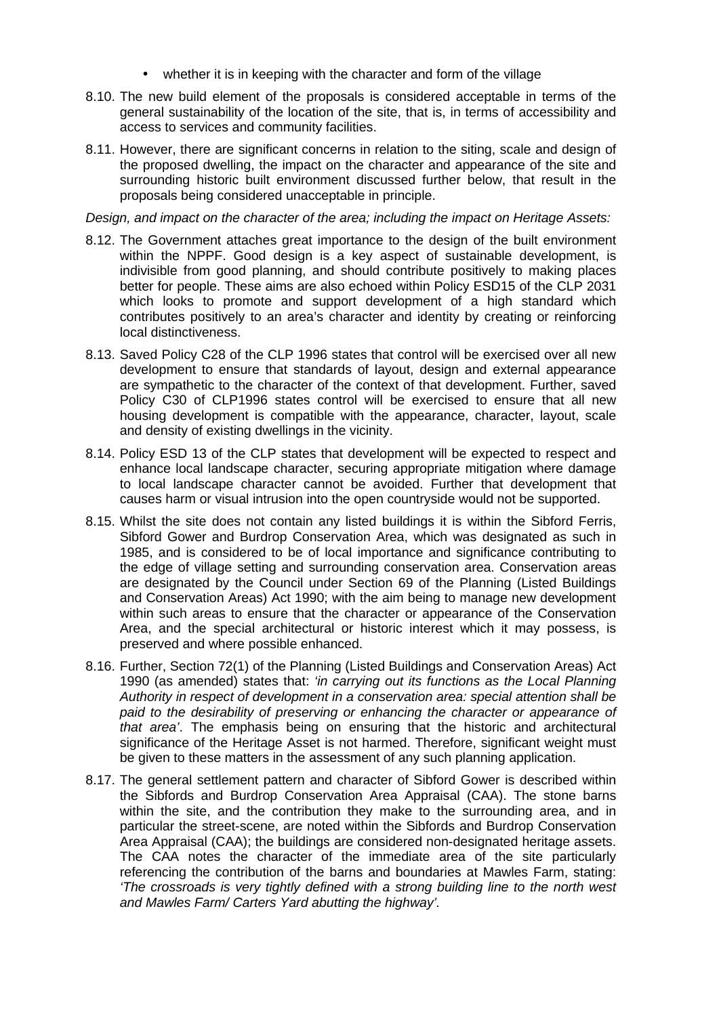- whether it is in keeping with the character and form of the village
- 8.10. The new build element of the proposals is considered acceptable in terms of the general sustainability of the location of the site, that is, in terms of accessibility and access to services and community facilities.
- 8.11. However, there are significant concerns in relation to the siting, scale and design of the proposed dwelling, the impact on the character and appearance of the site and surrounding historic built environment discussed further below, that result in the proposals being considered unacceptable in principle.

*Design, and impact on the character of the area; including the impact on Heritage Assets:*

- 8.12. The Government attaches great importance to the design of the built environment within the NPPF. Good design is a key aspect of sustainable development, is indivisible from good planning, and should contribute positively to making places better for people. These aims are also echoed within Policy ESD15 of the CLP 2031 which looks to promote and support development of a high standard which contributes positively to an area's character and identity by creating or reinforcing local distinctiveness.
- 8.13. Saved Policy C28 of the CLP 1996 states that control will be exercised over all new development to ensure that standards of layout, design and external appearance are sympathetic to the character of the context of that development. Further, saved Policy C30 of CLP1996 states control will be exercised to ensure that all new housing development is compatible with the appearance, character, layout, scale and density of existing dwellings in the vicinity.
- 8.14. Policy ESD 13 of the CLP states that development will be expected to respect and enhance local landscape character, securing appropriate mitigation where damage to local landscape character cannot be avoided. Further that development that causes harm or visual intrusion into the open countryside would not be supported.
- 8.15. Whilst the site does not contain any listed buildings it is within the Sibford Ferris, Sibford Gower and Burdrop Conservation Area, which was designated as such in 1985, and is considered to be of local importance and significance contributing to the edge of village setting and surrounding conservation area. Conservation areas are designated by the Council under Section 69 of the Planning (Listed Buildings and Conservation Areas) Act 1990; with the aim being to manage new development within such areas to ensure that the character or appearance of the Conservation Area, and the special architectural or historic interest which it may possess, is preserved and where possible enhanced.
- 8.16. Further, Section 72(1) of the Planning (Listed Buildings and Conservation Areas) Act 1990 (as amended) states that: *'in carrying out its functions as the Local Planning Authority in respect of development in a conservation area: special attention shall be paid to the desirability of preserving or enhancing the character or appearance of that area'*. The emphasis being on ensuring that the historic and architectural significance of the Heritage Asset is not harmed. Therefore, significant weight must be given to these matters in the assessment of any such planning application.
- 8.17. The general settlement pattern and character of Sibford Gower is described within the Sibfords and Burdrop Conservation Area Appraisal (CAA). The stone barns within the site, and the contribution they make to the surrounding area, and in particular the street-scene, are noted within the Sibfords and Burdrop Conservation Area Appraisal (CAA); the buildings are considered non-designated heritage assets. The CAA notes the character of the immediate area of the site particularly referencing the contribution of the barns and boundaries at Mawles Farm, stating: *'The crossroads is very tightly defined with a strong building line to the north west and Mawles Farm/ Carters Yard abutting the highway'.*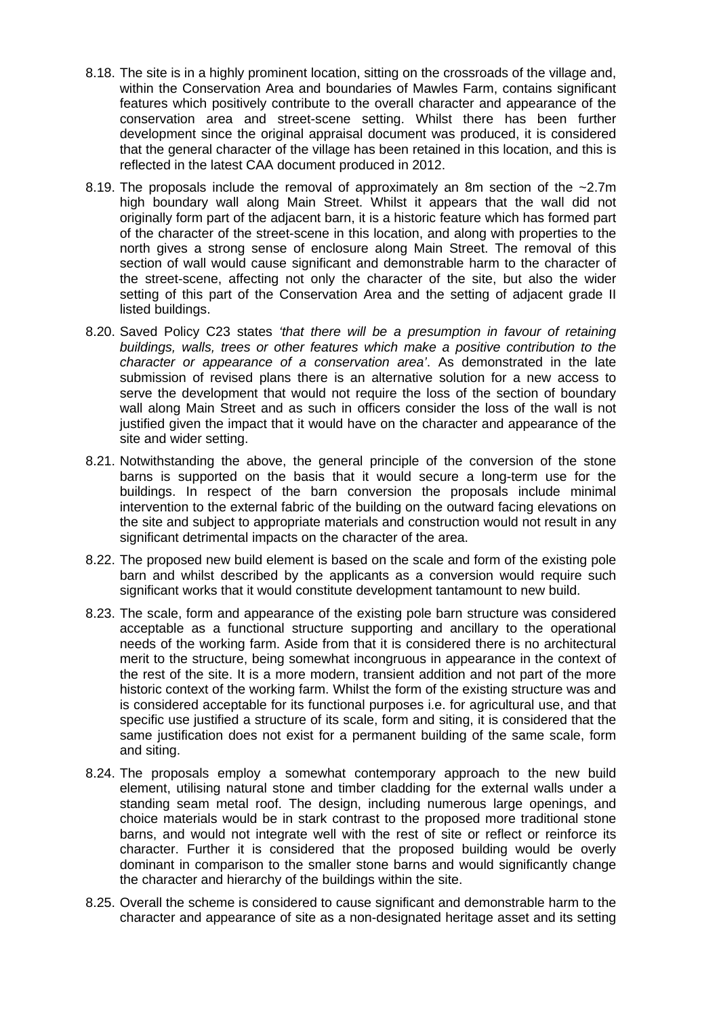- 8.18. The site is in a highly prominent location, sitting on the crossroads of the village and, within the Conservation Area and boundaries of Mawles Farm, contains significant features which positively contribute to the overall character and appearance of the conservation area and street-scene setting. Whilst there has been further development since the original appraisal document was produced, it is considered that the general character of the village has been retained in this location, and this is reflected in the latest CAA document produced in 2012.
- 8.19. The proposals include the removal of approximately an 8m section of the ~2.7m high boundary wall along Main Street. Whilst it appears that the wall did not originally form part of the adjacent barn, it is a historic feature which has formed part of the character of the street-scene in this location, and along with properties to the north gives a strong sense of enclosure along Main Street. The removal of this section of wall would cause significant and demonstrable harm to the character of the street-scene, affecting not only the character of the site, but also the wider setting of this part of the Conservation Area and the setting of adjacent grade II listed buildings.
- 8.20. Saved Policy C23 states *'that there will be a presumption in favour of retaining buildings, walls, trees or other features which make a positive contribution to the character or appearance of a conservation area'*. As demonstrated in the late submission of revised plans there is an alternative solution for a new access to serve the development that would not require the loss of the section of boundary wall along Main Street and as such in officers consider the loss of the wall is not justified given the impact that it would have on the character and appearance of the site and wider setting.
- 8.21. Notwithstanding the above, the general principle of the conversion of the stone barns is supported on the basis that it would secure a long-term use for the buildings. In respect of the barn conversion the proposals include minimal intervention to the external fabric of the building on the outward facing elevations on the site and subject to appropriate materials and construction would not result in any significant detrimental impacts on the character of the area.
- 8.22. The proposed new build element is based on the scale and form of the existing pole barn and whilst described by the applicants as a conversion would require such significant works that it would constitute development tantamount to new build.
- 8.23. The scale, form and appearance of the existing pole barn structure was considered acceptable as a functional structure supporting and ancillary to the operational needs of the working farm. Aside from that it is considered there is no architectural merit to the structure, being somewhat incongruous in appearance in the context of the rest of the site. It is a more modern, transient addition and not part of the more historic context of the working farm. Whilst the form of the existing structure was and is considered acceptable for its functional purposes i.e. for agricultural use, and that specific use justified a structure of its scale, form and siting, it is considered that the same justification does not exist for a permanent building of the same scale, form and siting.
- 8.24. The proposals employ a somewhat contemporary approach to the new build element, utilising natural stone and timber cladding for the external walls under a standing seam metal roof. The design, including numerous large openings, and choice materials would be in stark contrast to the proposed more traditional stone barns, and would not integrate well with the rest of site or reflect or reinforce its character. Further it is considered that the proposed building would be overly dominant in comparison to the smaller stone barns and would significantly change the character and hierarchy of the buildings within the site.
- 8.25. Overall the scheme is considered to cause significant and demonstrable harm to the character and appearance of site as a non-designated heritage asset and its setting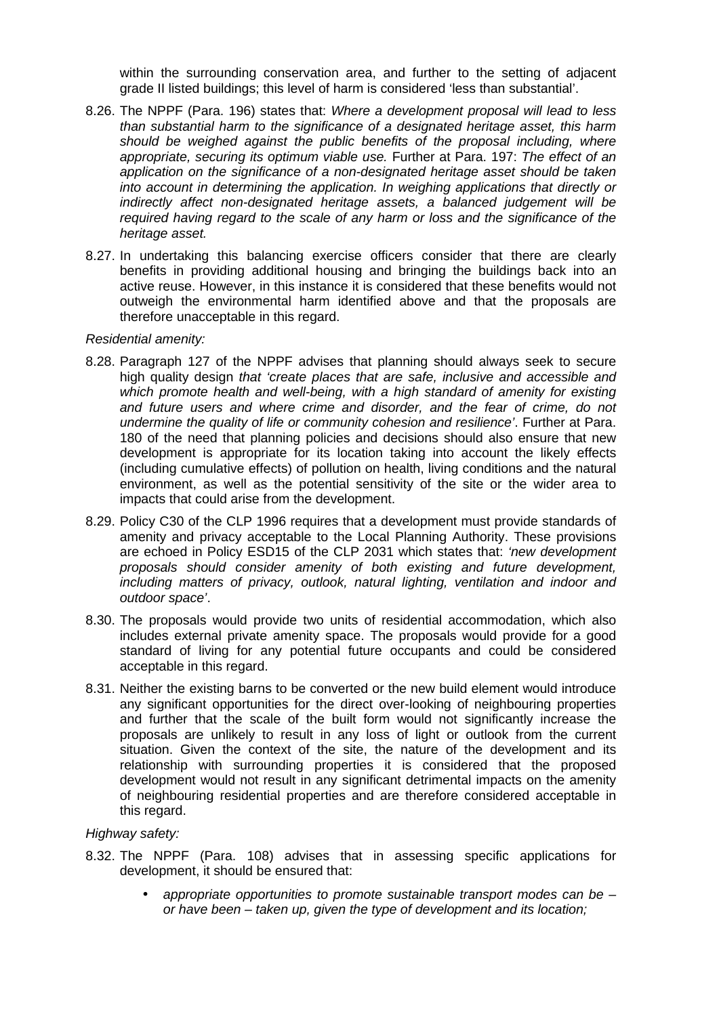within the surrounding conservation area, and further to the setting of adjacent grade II listed buildings; this level of harm is considered 'less than substantial'.

- 8.26. The NPPF (Para. 196) states that: *Where a development proposal will lead to less than substantial harm to the significance of a designated heritage asset, this harm should be weighed against the public benefits of the proposal including, where appropriate, securing its optimum viable use.* Further at Para. 197: *The effect of an application on the significance of a non-designated heritage asset should be taken into account in determining the application. In weighing applications that directly or indirectly affect non-designated heritage assets, a balanced judgement will be required having regard to the scale of any harm or loss and the significance of the heritage asset.*
- 8.27. In undertaking this balancing exercise officers consider that there are clearly benefits in providing additional housing and bringing the buildings back into an active reuse. However, in this instance it is considered that these benefits would not outweigh the environmental harm identified above and that the proposals are therefore unacceptable in this regard.

#### *Residential amenity:*

- 8.28. Paragraph 127 of the NPPF advises that planning should always seek to secure high quality design *that 'create places that are safe, inclusive and accessible and which promote health and well-being, with a high standard of amenity for existing and future users and where crime and disorder, and the fear of crime, do not undermine the quality of life or community cohesion and resilience'*. Further at Para. 180 of the need that planning policies and decisions should also ensure that new development is appropriate for its location taking into account the likely effects (including cumulative effects) of pollution on health, living conditions and the natural environment, as well as the potential sensitivity of the site or the wider area to impacts that could arise from the development.
- 8.29. Policy C30 of the CLP 1996 requires that a development must provide standards of amenity and privacy acceptable to the Local Planning Authority. These provisions are echoed in Policy ESD15 of the CLP 2031 which states that: *'new development proposals should consider amenity of both existing and future development, including matters of privacy, outlook, natural lighting, ventilation and indoor and outdoor space'*.
- 8.30. The proposals would provide two units of residential accommodation, which also includes external private amenity space. The proposals would provide for a good standard of living for any potential future occupants and could be considered acceptable in this regard.
- 8.31. Neither the existing barns to be converted or the new build element would introduce any significant opportunities for the direct over-looking of neighbouring properties and further that the scale of the built form would not significantly increase the proposals are unlikely to result in any loss of light or outlook from the current situation. Given the context of the site, the nature of the development and its relationship with surrounding properties it is considered that the proposed development would not result in any significant detrimental impacts on the amenity of neighbouring residential properties and are therefore considered acceptable in this regard.

#### *Highway safety:*

- 8.32. The NPPF (Para. 108) advises that in assessing specific applications for development, it should be ensured that:
	- *appropriate opportunities to promote sustainable transport modes can be – or have been – taken up, given the type of development and its location;*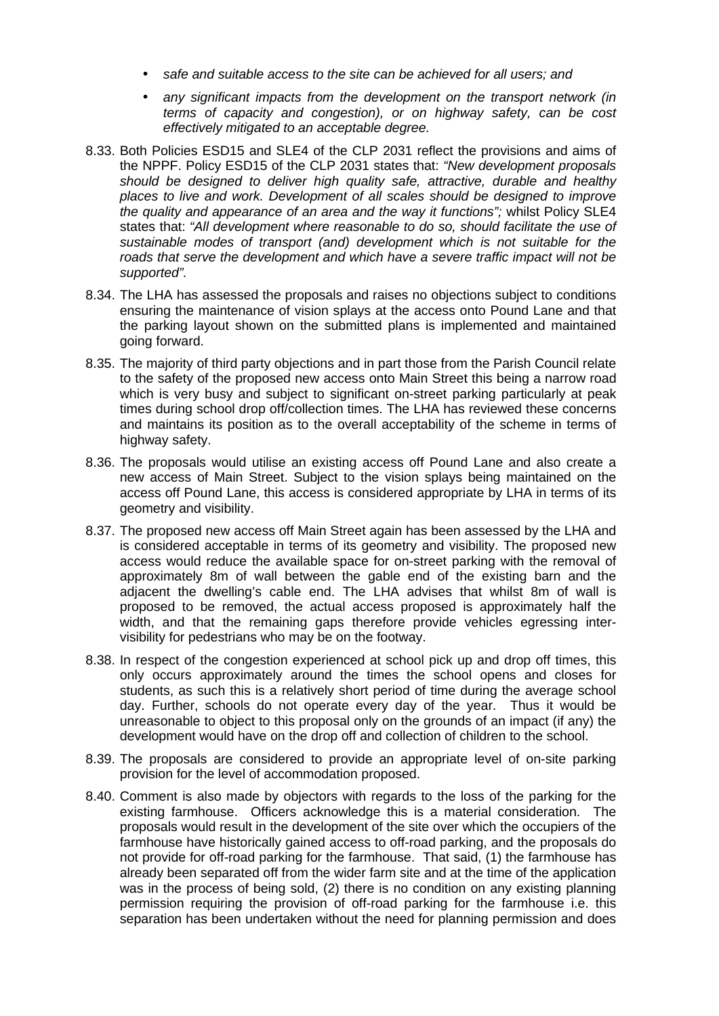- *safe and suitable access to the site can be achieved for all users; and*
- *any significant impacts from the development on the transport network (in terms of capacity and congestion), or on highway safety, can be cost effectively mitigated to an acceptable degree.*
- 8.33. Both Policies ESD15 and SLE4 of the CLP 2031 reflect the provisions and aims of the NPPF. Policy ESD15 of the CLP 2031 states that: *"New development proposals should be designed to deliver high quality safe, attractive, durable and healthy places to live and work. Development of all scales should be designed to improve the quality and appearance of an area and the way it functions";* whilst Policy SLE4 states that: *"All development where reasonable to do so, should facilitate the use of sustainable modes of transport (and) development which is not suitable for the*  roads that serve the development and which have a severe traffic impact will not be *supported".*
- 8.34. The LHA has assessed the proposals and raises no objections subject to conditions ensuring the maintenance of vision splays at the access onto Pound Lane and that the parking layout shown on the submitted plans is implemented and maintained going forward.
- 8.35. The majority of third party objections and in part those from the Parish Council relate to the safety of the proposed new access onto Main Street this being a narrow road which is very busy and subject to significant on-street parking particularly at peak times during school drop off/collection times. The LHA has reviewed these concerns and maintains its position as to the overall acceptability of the scheme in terms of highway safety.
- 8.36. The proposals would utilise an existing access off Pound Lane and also create a new access of Main Street. Subject to the vision splays being maintained on the access off Pound Lane, this access is considered appropriate by LHA in terms of its geometry and visibility.
- 8.37. The proposed new access off Main Street again has been assessed by the LHA and is considered acceptable in terms of its geometry and visibility. The proposed new access would reduce the available space for on-street parking with the removal of approximately 8m of wall between the gable end of the existing barn and the adjacent the dwelling's cable end. The LHA advises that whilst 8m of wall is proposed to be removed, the actual access proposed is approximately half the width, and that the remaining gaps therefore provide vehicles egressing intervisibility for pedestrians who may be on the footway.
- 8.38. In respect of the congestion experienced at school pick up and drop off times, this only occurs approximately around the times the school opens and closes for students, as such this is a relatively short period of time during the average school day. Further, schools do not operate every day of the year. Thus it would be unreasonable to object to this proposal only on the grounds of an impact (if any) the development would have on the drop off and collection of children to the school.
- 8.39. The proposals are considered to provide an appropriate level of on-site parking provision for the level of accommodation proposed.
- 8.40. Comment is also made by objectors with regards to the loss of the parking for the existing farmhouse. Officers acknowledge this is a material consideration. The proposals would result in the development of the site over which the occupiers of the farmhouse have historically gained access to off-road parking, and the proposals do not provide for off-road parking for the farmhouse. That said, (1) the farmhouse has already been separated off from the wider farm site and at the time of the application was in the process of being sold, (2) there is no condition on any existing planning permission requiring the provision of off-road parking for the farmhouse i.e. this separation has been undertaken without the need for planning permission and does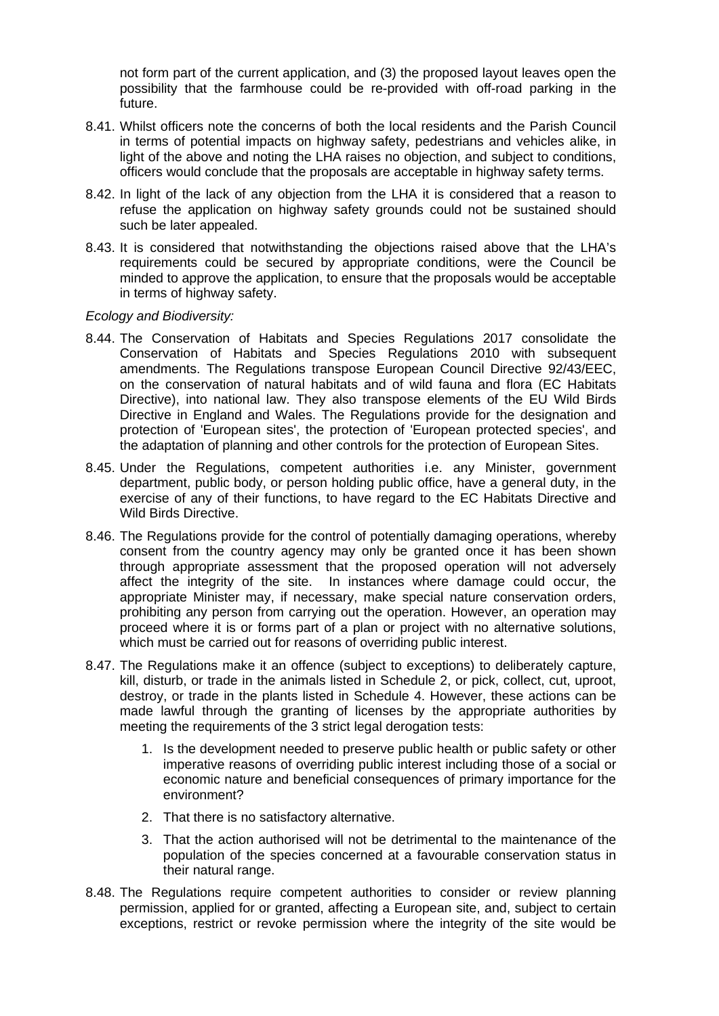not form part of the current application, and (3) the proposed layout leaves open the possibility that the farmhouse could be re-provided with off-road parking in the future.

- 8.41. Whilst officers note the concerns of both the local residents and the Parish Council in terms of potential impacts on highway safety, pedestrians and vehicles alike, in light of the above and noting the LHA raises no objection, and subject to conditions, officers would conclude that the proposals are acceptable in highway safety terms.
- 8.42. In light of the lack of any objection from the LHA it is considered that a reason to refuse the application on highway safety grounds could not be sustained should such be later appealed.
- 8.43. It is considered that notwithstanding the objections raised above that the LHA's requirements could be secured by appropriate conditions, were the Council be minded to approve the application, to ensure that the proposals would be acceptable in terms of highway safety.

#### *Ecology and Biodiversity:*

- 8.44. The Conservation of Habitats and Species Regulations 2017 consolidate the Conservation of Habitats and Species Regulations 2010 with subsequent amendments. The Regulations transpose European Council Directive 92/43/EEC, on the conservation of natural habitats and of wild fauna and flora (EC Habitats Directive), into national law. They also transpose elements of the EU Wild Birds Directive in England and Wales. The Regulations provide for the designation and protection of 'European sites', the protection of 'European protected species', and the adaptation of planning and other controls for the protection of European Sites.
- 8.45. Under the Regulations, competent authorities i.e. any Minister, government department, public body, or person holding public office, have a general duty, in the exercise of any of their functions, to have regard to the EC Habitats Directive and Wild Birds Directive.
- 8.46. The Regulations provide for the control of potentially damaging operations, whereby consent from the country agency may only be granted once it has been shown through appropriate assessment that the proposed operation will not adversely affect the integrity of the site. In instances where damage could occur, the appropriate Minister may, if necessary, make special nature conservation orders, prohibiting any person from carrying out the operation. However, an operation may proceed where it is or forms part of a plan or project with no alternative solutions, which must be carried out for reasons of overriding public interest.
- 8.47. The Regulations make it an offence (subject to exceptions) to deliberately capture, kill, disturb, or trade in the animals listed in Schedule 2, or pick, collect, cut, uproot, destroy, or trade in the plants listed in Schedule 4. However, these actions can be made lawful through the granting of licenses by the appropriate authorities by meeting the requirements of the 3 strict legal derogation tests:
	- 1. Is the development needed to preserve public health or public safety or other imperative reasons of overriding public interest including those of a social or economic nature and beneficial consequences of primary importance for the environment?
	- 2. That there is no satisfactory alternative.
	- 3. That the action authorised will not be detrimental to the maintenance of the population of the species concerned at a favourable conservation status in their natural range.
- 8.48. The Regulations require competent authorities to consider or review planning permission, applied for or granted, affecting a European site, and, subject to certain exceptions, restrict or revoke permission where the integrity of the site would be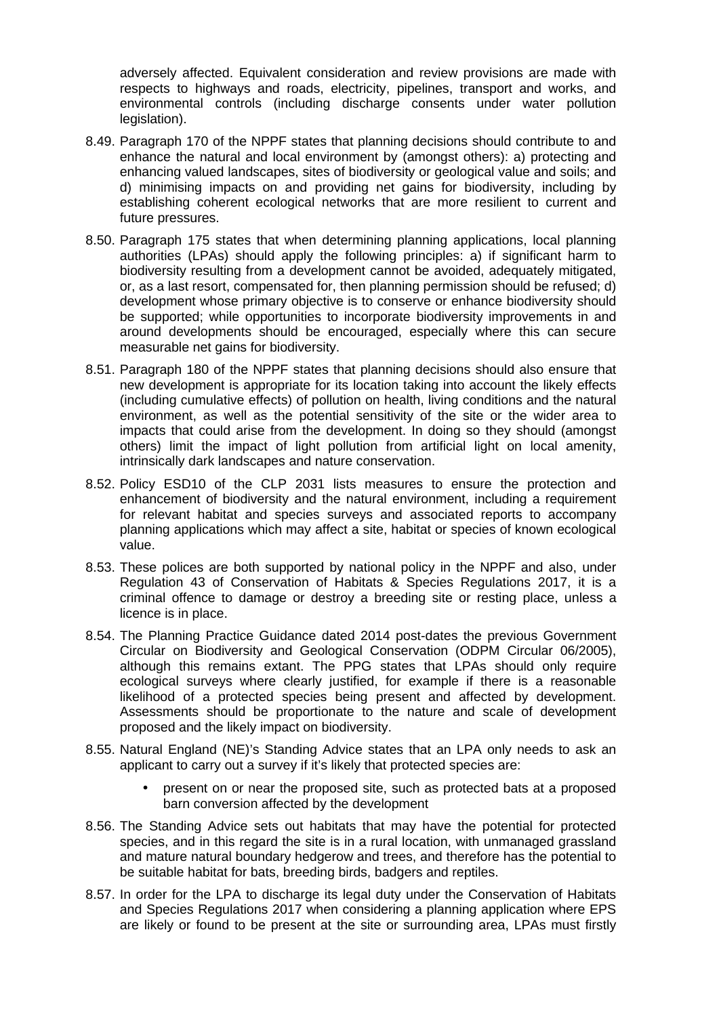adversely affected. Equivalent consideration and review provisions are made with respects to highways and roads, electricity, pipelines, transport and works, and environmental controls (including discharge consents under water pollution legislation).

- 8.49. Paragraph 170 of the NPPF states that planning decisions should contribute to and enhance the natural and local environment by (amongst others): a) protecting and enhancing valued landscapes, sites of biodiversity or geological value and soils; and d) minimising impacts on and providing net gains for biodiversity, including by establishing coherent ecological networks that are more resilient to current and future pressures.
- 8.50. Paragraph 175 states that when determining planning applications, local planning authorities (LPAs) should apply the following principles: a) if significant harm to biodiversity resulting from a development cannot be avoided, adequately mitigated, or, as a last resort, compensated for, then planning permission should be refused; d) development whose primary objective is to conserve or enhance biodiversity should be supported; while opportunities to incorporate biodiversity improvements in and around developments should be encouraged, especially where this can secure measurable net gains for biodiversity.
- 8.51. Paragraph 180 of the NPPF states that planning decisions should also ensure that new development is appropriate for its location taking into account the likely effects (including cumulative effects) of pollution on health, living conditions and the natural environment, as well as the potential sensitivity of the site or the wider area to impacts that could arise from the development. In doing so they should (amongst others) limit the impact of light pollution from artificial light on local amenity, intrinsically dark landscapes and nature conservation.
- 8.52. Policy ESD10 of the CLP 2031 lists measures to ensure the protection and enhancement of biodiversity and the natural environment, including a requirement for relevant habitat and species surveys and associated reports to accompany planning applications which may affect a site, habitat or species of known ecological value.
- 8.53. These polices are both supported by national policy in the NPPF and also, under Regulation 43 of Conservation of Habitats & Species Regulations 2017, it is a criminal offence to damage or destroy a breeding site or resting place, unless a licence is in place.
- 8.54. The Planning Practice Guidance dated 2014 post-dates the previous Government Circular on Biodiversity and Geological Conservation (ODPM Circular 06/2005), although this remains extant. The PPG states that LPAs should only require ecological surveys where clearly justified, for example if there is a reasonable likelihood of a protected species being present and affected by development. Assessments should be proportionate to the nature and scale of development proposed and the likely impact on biodiversity.
- 8.55. Natural England (NE)'s Standing Advice states that an LPA only needs to ask an applicant to carry out a survey if it's likely that protected species are:
	- present on or near the proposed site, such as protected bats at a proposed barn conversion affected by the development
- 8.56. The Standing Advice sets out habitats that may have the potential for protected species, and in this regard the site is in a rural location, with unmanaged grassland and mature natural boundary hedgerow and trees, and therefore has the potential to be suitable habitat for bats, breeding birds, badgers and reptiles.
- 8.57. In order for the LPA to discharge its legal duty under the Conservation of Habitats and Species Regulations 2017 when considering a planning application where EPS are likely or found to be present at the site or surrounding area, LPAs must firstly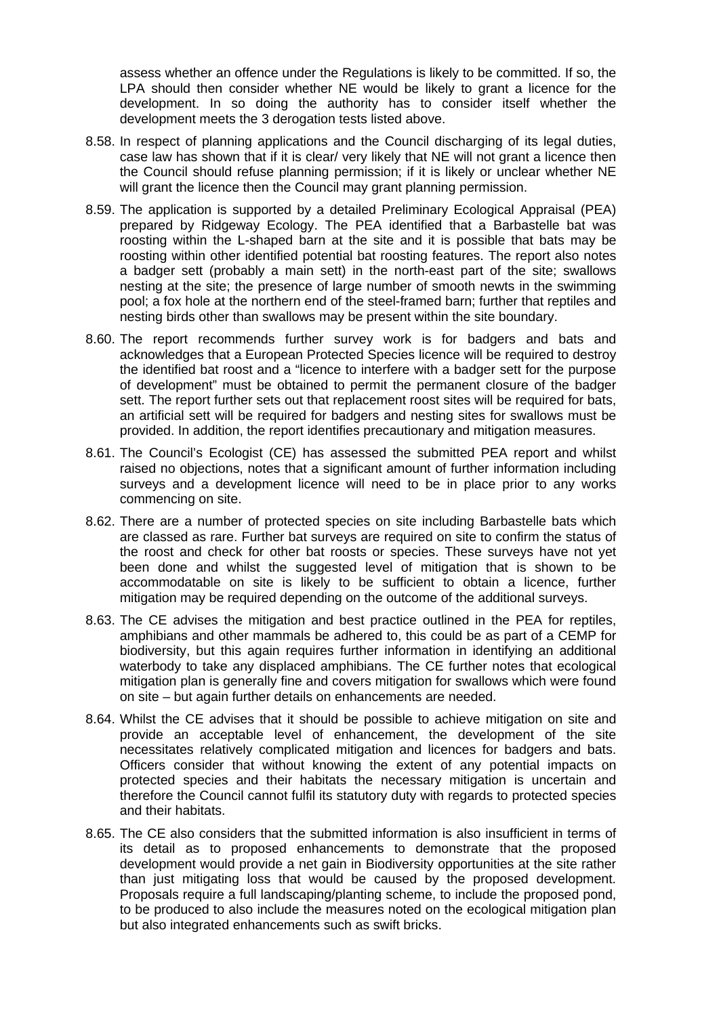assess whether an offence under the Regulations is likely to be committed. If so, the LPA should then consider whether NE would be likely to grant a licence for the development. In so doing the authority has to consider itself whether the development meets the 3 derogation tests listed above.

- 8.58. In respect of planning applications and the Council discharging of its legal duties, case law has shown that if it is clear/ very likely that NE will not grant a licence then the Council should refuse planning permission; if it is likely or unclear whether NE will grant the licence then the Council may grant planning permission.
- 8.59. The application is supported by a detailed Preliminary Ecological Appraisal (PEA) prepared by Ridgeway Ecology. The PEA identified that a Barbastelle bat was roosting within the L-shaped barn at the site and it is possible that bats may be roosting within other identified potential bat roosting features. The report also notes a badger sett (probably a main sett) in the north-east part of the site; swallows nesting at the site; the presence of large number of smooth newts in the swimming pool; a fox hole at the northern end of the steel-framed barn; further that reptiles and nesting birds other than swallows may be present within the site boundary.
- 8.60. The report recommends further survey work is for badgers and bats and acknowledges that a European Protected Species licence will be required to destroy the identified bat roost and a "licence to interfere with a badger sett for the purpose of development" must be obtained to permit the permanent closure of the badger sett. The report further sets out that replacement roost sites will be required for bats, an artificial sett will be required for badgers and nesting sites for swallows must be provided. In addition, the report identifies precautionary and mitigation measures.
- 8.61. The Council's Ecologist (CE) has assessed the submitted PEA report and whilst raised no objections, notes that a significant amount of further information including surveys and a development licence will need to be in place prior to any works commencing on site.
- 8.62. There are a number of protected species on site including Barbastelle bats which are classed as rare. Further bat surveys are required on site to confirm the status of the roost and check for other bat roosts or species. These surveys have not yet been done and whilst the suggested level of mitigation that is shown to be accommodatable on site is likely to be sufficient to obtain a licence, further mitigation may be required depending on the outcome of the additional surveys.
- 8.63. The CE advises the mitigation and best practice outlined in the PEA for reptiles, amphibians and other mammals be adhered to, this could be as part of a CEMP for biodiversity, but this again requires further information in identifying an additional waterbody to take any displaced amphibians. The CE further notes that ecological mitigation plan is generally fine and covers mitigation for swallows which were found on site – but again further details on enhancements are needed.
- 8.64. Whilst the CE advises that it should be possible to achieve mitigation on site and provide an acceptable level of enhancement, the development of the site necessitates relatively complicated mitigation and licences for badgers and bats. Officers consider that without knowing the extent of any potential impacts on protected species and their habitats the necessary mitigation is uncertain and therefore the Council cannot fulfil its statutory duty with regards to protected species and their habitats.
- 8.65. The CE also considers that the submitted information is also insufficient in terms of its detail as to proposed enhancements to demonstrate that the proposed development would provide a net gain in Biodiversity opportunities at the site rather than just mitigating loss that would be caused by the proposed development. Proposals require a full landscaping/planting scheme, to include the proposed pond, to be produced to also include the measures noted on the ecological mitigation plan but also integrated enhancements such as swift bricks.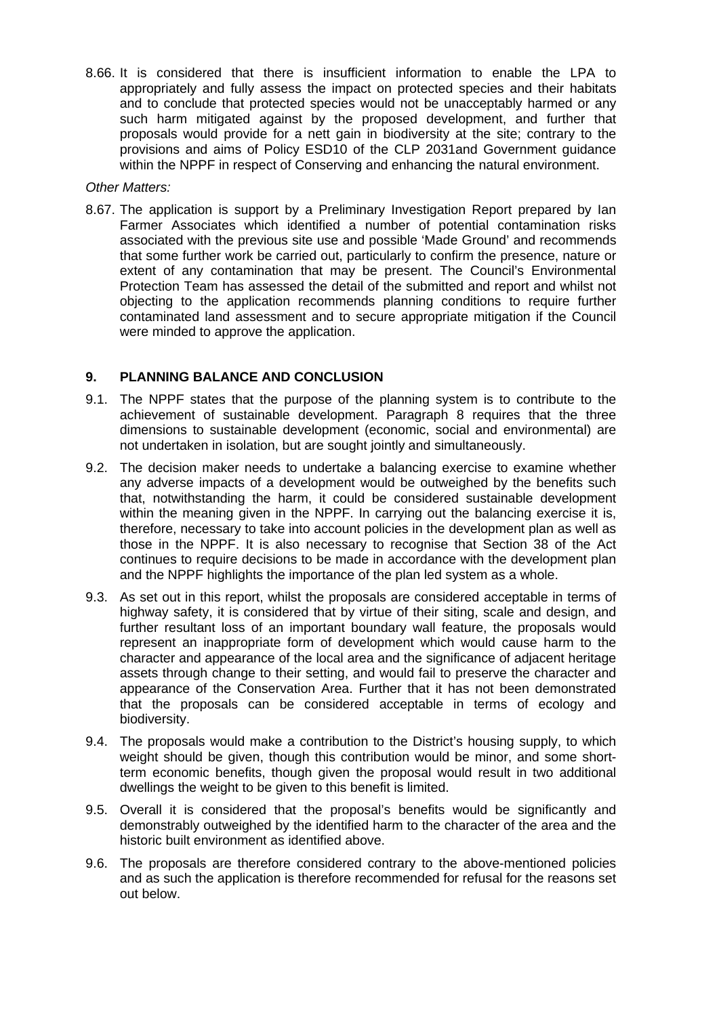8.66. It is considered that there is insufficient information to enable the LPA to appropriately and fully assess the impact on protected species and their habitats and to conclude that protected species would not be unacceptably harmed or any such harm mitigated against by the proposed development, and further that proposals would provide for a nett gain in biodiversity at the site; contrary to the provisions and aims of Policy ESD10 of the CLP 2031and Government guidance within the NPPF in respect of Conserving and enhancing the natural environment.

#### *Other Matters:*

8.67. The application is support by a Preliminary Investigation Report prepared by Ian Farmer Associates which identified a number of potential contamination risks associated with the previous site use and possible 'Made Ground' and recommends that some further work be carried out, particularly to confirm the presence, nature or extent of any contamination that may be present. The Council's Environmental Protection Team has assessed the detail of the submitted and report and whilst not objecting to the application recommends planning conditions to require further contaminated land assessment and to secure appropriate mitigation if the Council were minded to approve the application.

### **9. PLANNING BALANCE AND CONCLUSION**

- 9.1. The NPPF states that the purpose of the planning system is to contribute to the achievement of sustainable development. Paragraph 8 requires that the three dimensions to sustainable development (economic, social and environmental) are not undertaken in isolation, but are sought jointly and simultaneously.
- 9.2. The decision maker needs to undertake a balancing exercise to examine whether any adverse impacts of a development would be outweighed by the benefits such that, notwithstanding the harm, it could be considered sustainable development within the meaning given in the NPPF. In carrying out the balancing exercise it is, therefore, necessary to take into account policies in the development plan as well as those in the NPPF. It is also necessary to recognise that Section 38 of the Act continues to require decisions to be made in accordance with the development plan and the NPPF highlights the importance of the plan led system as a whole.
- 9.3. As set out in this report, whilst the proposals are considered acceptable in terms of highway safety, it is considered that by virtue of their siting, scale and design, and further resultant loss of an important boundary wall feature, the proposals would represent an inappropriate form of development which would cause harm to the character and appearance of the local area and the significance of adjacent heritage assets through change to their setting, and would fail to preserve the character and appearance of the Conservation Area. Further that it has not been demonstrated that the proposals can be considered acceptable in terms of ecology and biodiversity.
- 9.4. The proposals would make a contribution to the District's housing supply, to which weight should be given, though this contribution would be minor, and some shortterm economic benefits, though given the proposal would result in two additional dwellings the weight to be given to this benefit is limited.
- 9.5. Overall it is considered that the proposal's benefits would be significantly and demonstrably outweighed by the identified harm to the character of the area and the historic built environment as identified above.
- 9.6. The proposals are therefore considered contrary to the above-mentioned policies and as such the application is therefore recommended for refusal for the reasons set out below.